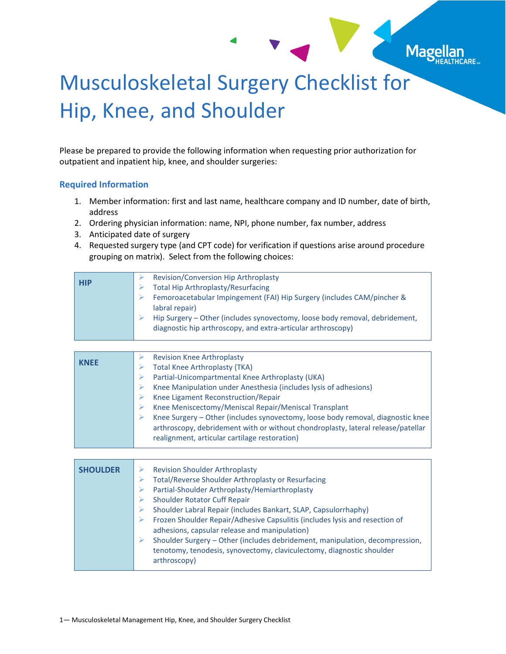## Musculoskeletal Surgery Checklist for Hip, Knee, and Shoulder

Mage

Please be prepared to provide the following information when requesting prior authorization for outpatient and inpatient hip, knee, and shoulder surgeries:

## **Required Information**

- 1. Member information: first and last name, healthcare company and ID number, date of birth, address
- 2. Ordering physician information: name, NPI, phone number, fax number, address
- 3. Anticipated date of surgery
- 4. Requested surgery type (and CPT code) for verification if questions arise around procedure grouping on matrix). Select from the following choices:

| <b>HIP</b> | Revision/Conversion Hip Arthroplasty<br><b>Total Hip Arthroplasty/Resurfacing</b>                                                                                                                                                       |
|------------|-----------------------------------------------------------------------------------------------------------------------------------------------------------------------------------------------------------------------------------------|
|            | Femoroacetabular Impingement (FAI) Hip Surgery (includes CAM/pincher &<br>labral repair)<br>Hip Surgery - Other (includes synovectomy, loose body removal, debridement,<br>diagnostic hip arthroscopy, and extra-articular arthroscopy) |

| <b>KNEE</b> | <b>Revision Knee Arthroplasty</b>                                                |
|-------------|----------------------------------------------------------------------------------|
|             | <b>Total Knee Arthroplasty (TKA)</b>                                             |
|             | Partial-Unicompartmental Knee Arthroplasty (UKA)                                 |
|             | Knee Manipulation under Anesthesia (includes lysis of adhesions)                 |
|             | Knee Ligament Reconstruction/Repair                                              |
|             | Knee Meniscectomy/Meniscal Repair/Meniscal Transplant                            |
|             | Knee Surgery - Other (includes synovectomy, loose body removal, diagnostic knee  |
|             | arthroscopy, debridement with or without chondroplasty, lateral release/patellar |
|             | realignment, articular cartilage restoration)                                    |
|             |                                                                                  |

| <b>SHOULDER</b> | <b>Revision Shoulder Arthroplasty</b>                                                                                                                                 |
|-----------------|-----------------------------------------------------------------------------------------------------------------------------------------------------------------------|
|                 | <b>Total/Reverse Shoulder Arthroplasty or Resurfacing</b>                                                                                                             |
|                 | Partial-Shoulder Arthroplasty/Hemiarthroplasty                                                                                                                        |
|                 | <b>Shoulder Rotator Cuff Repair</b>                                                                                                                                   |
|                 | Shoulder Labral Repair (includes Bankart, SLAP, Capsulorrhaphy)                                                                                                       |
|                 | Frozen Shoulder Repair/Adhesive Capsulitis (includes lysis and resection of<br>adhesions, capsular release and manipulation)                                          |
|                 | Shoulder Surgery - Other (includes debridement, manipulation, decompression,<br>tenotomy, tenodesis, synovectomy, claviculectomy, diagnostic shoulder<br>arthroscopy) |
|                 |                                                                                                                                                                       |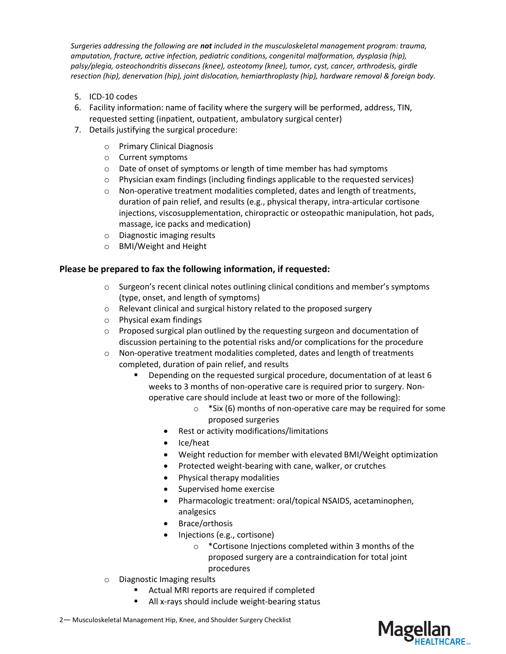*Surgeries addressing the following are not included in the musculoskeletal management program: trauma, amputation, fracture, active infection, pediatric conditions, congenital malformation, dysplasia (hip), palsy/plegia, osteochondritis dissecans (knee), osteotomy (knee), tumor, cyst, cancer, arthrodesis, girdle resection (hip), denervation (hip), joint dislocation, hemiarthroplasty (hip), hardware removal & foreign body.*

- 5. ICD-10 codes
- 6. Facility information: name of facility where the surgery will be performed, address, TIN, requested setting (inpatient, outpatient, ambulatory surgical center)
- 7. Details justifying the surgical procedure:
	- o Primary Clinical Diagnosis
	- o Current symptoms
	- o Date of onset of symptoms or length of time member has had symptoms
	- $\circ$  Physician exam findings (including findings applicable to the requested services)
	- o Non-operative treatment modalities completed, dates and length of treatments, duration of pain relief, and results (e.g., physical therapy, intra-articular cortisone injections, viscosupplementation, chiropractic or osteopathic manipulation, hot pads, massage, ice packs and medication)
	- o Diagnostic imaging results
	- o BMI/Weight and Height

## **Please be prepared to fax the following information, if requested:**

- $\circ$  Surgeon's recent clinical notes outlining clinical conditions and member's symptoms (type, onset, and length of symptoms)
- o Relevant clinical and surgical history related to the proposed surgery
- o Physical exam findings
- $\circ$  Proposed surgical plan outlined by the requesting surgeon and documentation of discussion pertaining to the potential risks and/or complications for the procedure
- $\circ$  Non-operative treatment modalities completed, dates and length of treatments completed, duration of pain relief, and results
	- Depending on the requested surgical procedure, documentation of at least 6 weeks to 3 months of non-operative care is required prior to surgery. Nonoperative care should include at least two or more of the following):
		- o \*Six (6) months of non-operative care may be required for some proposed surgeries
		- Rest or activity modifications/limitations
		- Ice/heat
		- Weight reduction for member with elevated BMI/Weight optimization
		- Protected weight-bearing with cane, walker, or crutches
		- Physical therapy modalities
		- Supervised home exercise
		- Pharmacologic treatment: oral/topical NSAIDS, acetaminophen, analgesics
		- Brace/orthosis
		- Injections (e.g., cortisone)
			- o \*Cortisone Injections completed within 3 months of the proposed surgery are a contraindication for total joint procedures
- o Diagnostic Imaging results
	- Actual MRI reports are required if completed
	- All x-rays should include weight-bearing status